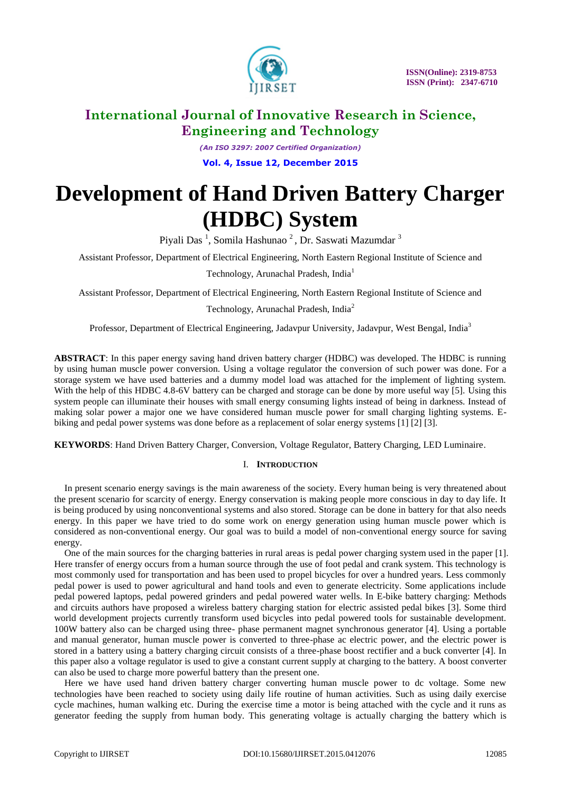

*(An ISO 3297: 2007 Certified Organization)* **Vol. 4, Issue 12, December 2015**

# **Development of Hand Driven Battery Charger (HDBC) System**

Piyali Das <sup>1</sup>, Somila Hashunao <sup>2</sup> , Dr. Saswati Mazumdar <sup>3</sup>

Assistant Professor, Department of Electrical Engineering, North Eastern Regional Institute of Science and

Technology, Arunachal Pradesh, India<sup>1</sup>

Assistant Professor, Department of Electrical Engineering, North Eastern Regional Institute of Science and

Technology, Arunachal Pradesh, India<sup>2</sup>

Professor, Department of Electrical Engineering, Jadavpur University, Jadavpur, West Bengal, India<sup>3</sup>

**ABSTRACT**: In this paper energy saving hand driven battery charger (HDBC) was developed. The HDBC is running by using human muscle power conversion. Using a voltage regulator the conversion of such power was done. For a storage system we have used batteries and a dummy model load was attached for the implement of lighting system. With the help of this HDBC 4.8-6V battery can be charged and storage can be done by more useful way [5]. Using this system people can illuminate their houses with small energy consuming lights instead of being in darkness. Instead of making solar power a major one we have considered human muscle power for small charging lighting systems. Ebiking and pedal power systems was done before as a replacement of solar energy systems [1] [2] [3].

**KEYWORDS**: Hand Driven Battery Charger, Conversion, Voltage Regulator, Battery Charging, LED Luminaire.

### I. **INTRODUCTION**

In present scenario energy savings is the main awareness of the society. Every human being is very threatened about the present scenario for scarcity of energy. Energy conservation is making people more conscious in day to day life. It is being produced by using nonconventional systems and also stored. Storage can be done in battery for that also needs energy. In this paper we have tried to do some work on energy generation using human muscle power which is considered as non-conventional energy. Our goal was to build a model of non-conventional energy source for saving energy.

One of the main sources for the charging batteries in rural areas is pedal power charging system used in the paper [1]. Here transfer of energy occurs from a human source through the use of foot pedal and crank system. This technology is most commonly used for transportation and has been used to propel bicycles for over a hundred years. Less commonly pedal power is used to power agricultural and hand tools and even to generate electricity. Some applications include pedal powered laptops, pedal powered grinders and pedal powered water wells. In E-bike battery charging: Methods and circuits authors have proposed a wireless battery charging station for electric assisted pedal bikes [3]. Some third world development projects currently transform used bicycles into pedal powered tools for sustainable development. 100W battery also can be charged using three- phase permanent magnet synchronous generator [4]. Using a portable and manual generator, human muscle power is converted to three-phase ac electric power, and the electric power is stored in a battery using a battery charging circuit consists of a three-phase boost rectifier and a buck converter [4]. In this paper also a voltage regulator is used to give a constant current supply at charging to the battery. A boost converter can also be used to charge more powerful battery than the present one.

Here we have used hand driven battery charger converting human muscle power to dc voltage. Some new technologies have been reached to society using daily life routine of human activities. Such as using daily exercise cycle machines, human walking etc. During the exercise time a motor is being attached with the cycle and it runs as generator feeding the supply from human body. This generating voltage is actually charging the battery which is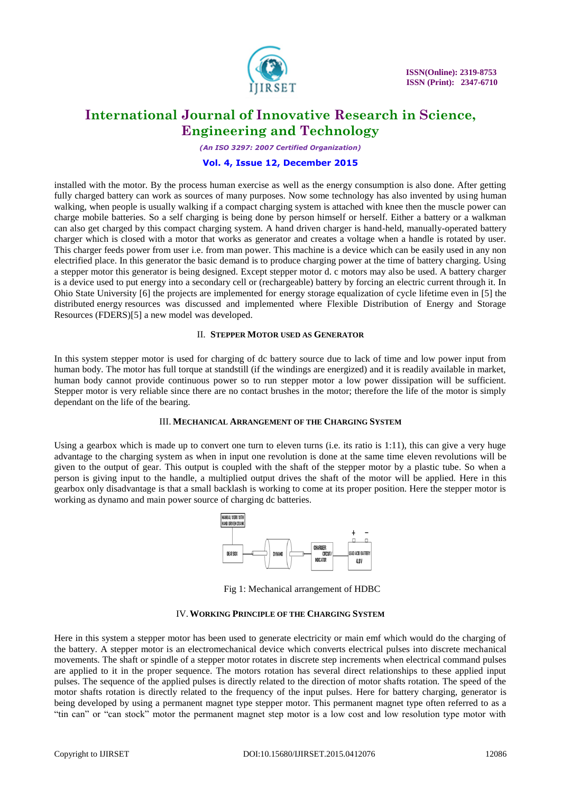

*(An ISO 3297: 2007 Certified Organization)*

### **Vol. 4, Issue 12, December 2015**

installed with the motor. By the process human exercise as well as the energy consumption is also done. After getting fully charged battery can work as sources of many purposes. Now some technology has also invented by using human walking, when people is usually walking if a compact charging system is attached with knee then the muscle power can charge mobile batteries. So a self charging is being done by person himself or herself. Either a battery or a walkman can also get charged by this compact charging system. A hand driven charger is hand-held, manually-operated battery charger which is closed with a motor that works as generator and creates a voltage when a handle is rotated by user. This charger feeds power from user i.e. from man power. This machine is a device which can be easily used in any non electrified place. In this generator the basic demand is to produce charging power at the time of battery charging. Using a stepper motor this generator is being designed. Except stepper motor d. c motors may also be used. A battery charger is a device used to put energy into a secondary cell or (rechargeable) battery by forcing an electric current through it. In Ohio State University [6] the projects are implemented for energy storage equalization of cycle lifetime even in [5] the distributed energy resources was discussed and implemented where Flexible Distribution of Energy and Storage Resources (FDERS)[5] a new model was developed.

#### II. **STEPPER MOTOR USED AS GENERATOR**

In this system stepper motor is used for charging of dc battery source due to lack of time and low power input from human body. The motor has full torque at standstill (if the windings are energized) and it is readily available in market, human body cannot provide continuous power so to run stepper motor a low power dissipation will be sufficient. Stepper motor is very reliable since there are no contact brushes in the motor; therefore the life of the motor is simply dependant on the life of the bearing.

#### III. **MECHANICAL ARRANGEMENT OF THE CHARGING SYSTEM**

Using a gearbox which is made up to convert one turn to eleven turns (i.e. its ratio is 1:11), this can give a very huge advantage to the charging system as when in input one revolution is done at the same time eleven revolutions will be given to the output of gear. This output is coupled with the shaft of the stepper motor by a plastic tube. So when a person is giving input to the handle, a multiplied output drives the shaft of the motor will be applied. Here in this gearbox only disadvantage is that a small backlash is working to come at its proper position. Here the stepper motor is working as dynamo and main power source of charging dc batteries.



Fig 1: Mechanical arrangement of HDBC

### IV.**WORKING PRINCIPLE OF THE CHARGING SYSTEM**

Here in this system a stepper motor has been used to generate electricity or main emf which would do the charging of the battery. A stepper motor is an electromechanical device which converts electrical pulses into discrete mechanical movements. The shaft or spindle of a stepper motor rotates in discrete step increments when electrical command pulses are applied to it in the proper sequence. The motors rotation has several direct relationships to these applied input pulses. The sequence of the applied pulses is directly related to the direction of motor shafts rotation. The speed of the motor shafts rotation is directly related to the frequency of the input pulses. Here for battery charging, generator is being developed by using a permanent magnet type stepper motor. This permanent magnet type often referred to as a "tin can" or "can stock" motor the permanent magnet step motor is a low cost and low resolution type motor with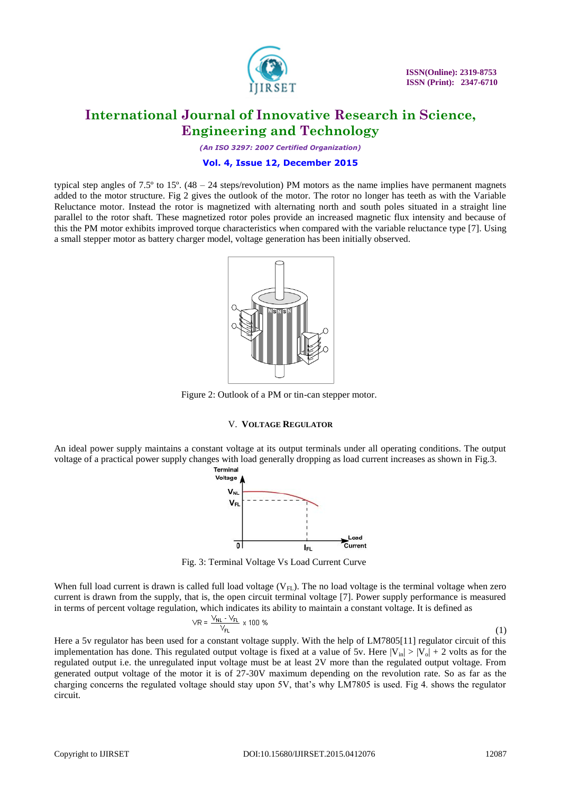

*(An ISO 3297: 2007 Certified Organization)*

### **Vol. 4, Issue 12, December 2015**

typical step angles of 7.5º to 15º. (48 – 24 steps/revolution) PM motors as the name implies have permanent magnets added to the motor structure. Fig 2 gives the outlook of the motor. The rotor no longer has teeth as with the Variable Reluctance motor. Instead the rotor is magnetized with alternating north and south poles situated in a straight line parallel to the rotor shaft. These magnetized rotor poles provide an increased magnetic flux intensity and because of this the PM motor exhibits improved torque characteristics when compared with the variable reluctance type [7]. Using a small stepper motor as battery charger model, voltage generation has been initially observed.



Figure 2: Outlook of a PM or tin-can stepper motor.

### V. **VOLTAGE REGULATOR**

An ideal power supply maintains a constant voltage at its output terminals under all operating conditions. The output voltage of a practical power supply changes with load generally dropping as load current increases as shown in [Fig.3](http://nptel.iitm.ac.in/courses/Webcourse-contents/IIT-ROORKEE/Analog%20circuits/lecturers/lecture_27/lecture27_page1.htm).



Fig. 3: Terminal Voltage Vs Load Current Curve

When full load current is drawn is called full load voltage  $(V_{FL})$ . The no load voltage is the terminal voltage when zero current is drawn from the supply, that is, the open circuit terminal voltage [7]. Power supply performance is measured in terms of percent voltage regulation, which indicates its ability to maintain a constant voltage. It is defined as

$$
\sqrt{R} = \frac{V_{NL} - V_{FL}}{V_{FL}} \times 100\% \tag{1}
$$

Here a 5v regulator has been used for a constant voltage supply. With the help of LM7805[11] regulator circuit of this implementation has done. This regulated output voltage is fixed at a value of 5v. Here  $|V_{in}| > |V_{o}| + 2$  volts as for the regulated output i.e. the unregulated input voltage must be at least 2V more than the regulated output voltage. From generated output voltage of the motor it is of 27-30V maximum depending on the revolution rate. So as far as the charging concerns the regulated voltage should stay upon 5V, that's why LM7805 is used. Fig 4. shows the regulator circuit.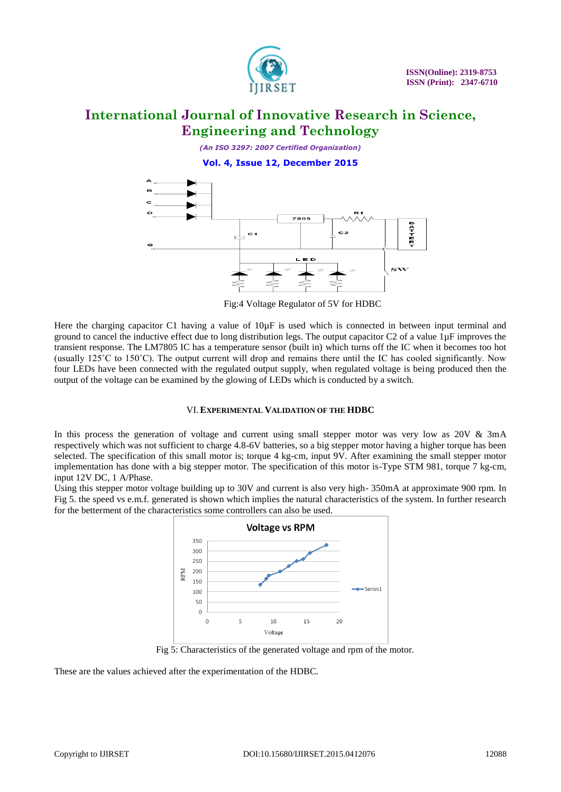

*(An ISO 3297: 2007 Certified Organization)* **Vol. 4, Issue 12, December 2015**



Fig:4 Voltage Regulator of 5V for HDBC

Here the charging capacitor C1 having a value of  $10\mu$ F is used which is connected in between input terminal and ground to cancel the inductive effect due to long distribution legs. The output capacitor  $C2$  of a value  $1\mu$ F improves the transient response. The LM7805 IC has a temperature sensor (built in) which turns off the IC when it becomes too hot (usually 125˚C to 150˚C). The output current will drop and remains there until the IC has cooled significantly. Now four LEDs have been connected with the regulated output supply, when regulated voltage is being produced then the output of the voltage can be examined by the glowing of LEDs which is conducted by a switch.

# VI.**EXPERIMENTAL VALIDATION OF THE HDBC**

In this process the generation of voltage and current using small stepper motor was very low as 20V & 3mA respectively which was not sufficient to charge 4.8-6V batteries, so a big stepper motor having a higher torque has been selected. The specification of this small motor is; torque 4 kg-cm, input 9V. After examining the small stepper motor implementation has done with a big stepper motor. The specification of this motor is-Type STM 981, torque 7 kg-cm, input 12V DC, 1 A/Phase.

Using this stepper motor voltage building up to 30V and current is also very high- 350mA at approximate 900 rpm. In Fig 5. the speed vs e.m.f. generated is shown which implies the natural characteristics of the system. In further research for the betterment of the characteristics some controllers can also be used.



Fig 5: Characteristics of the generated voltage and rpm of the motor.

These are the values achieved after the experimentation of the HDBC.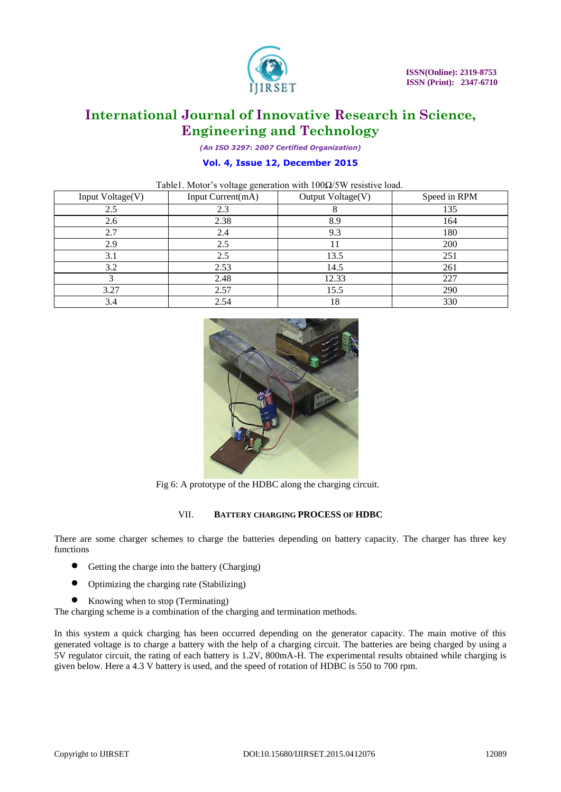

*(An ISO 3297: 2007 Certified Organization)*

### **Vol. 4, Issue 12, December 2015**

| Table1. Motor's voltage generation with $100\Omega/5W$ resistive load. |  |  |  |
|------------------------------------------------------------------------|--|--|--|
|------------------------------------------------------------------------|--|--|--|

| Input Voltage(V) | Input Current(mA) | Output Voltage(V) | Speed in RPM |
|------------------|-------------------|-------------------|--------------|
| 2.5              | 2.3               |                   | 135          |
| 2.6              | 2.38              | 8.9               | 164          |
| 2.7              | 2.4               | 9.3               | 180          |
| 2.9              | 2.5               | 11                | 200          |
| 3.1              | 2.5               | 13.5              | 251          |
| 3.2              | 2.53              | 14.5              | 261          |
|                  | 2.48              | 12.33             | 227          |
| 3.27             | 2.57              | 15.5              | 290          |
| 3.4              | 2.54              | 18                | 330          |



Fig 6: A prototype of the HDBC along the charging circuit.

### VII. **BATTERY CHARGING PROCESS OF HDBC**

There are some charger schemes to charge the batteries depending on battery capacity. The charger has three key functions

- Getting the charge into the battery (Charging)
- Optimizing the charging rate (Stabilizing)
- Knowing when to stop (Terminating)

The charging scheme is a combination of the charging and termination methods.

In this system a quick charging has been occurred depending on the generator capacity. The main motive of this generated voltage is to charge a battery with the help of a charging circuit. The batteries are being charged by using a 5V regulator circuit, the rating of each battery is 1.2V, 800mA-H. The experimental results obtained while charging is given below. Here a 4.3 V battery is used, and the speed of rotation of HDBC is 550 to 700 rpm.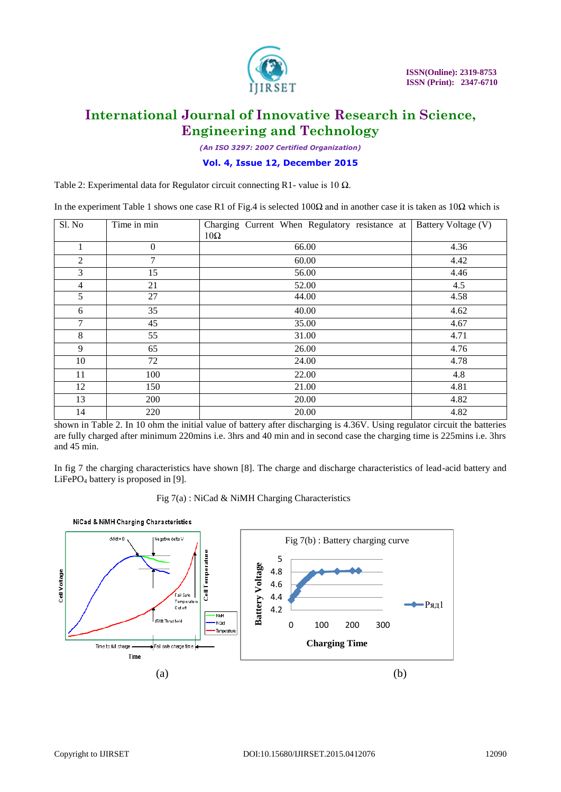

*(An ISO 3297: 2007 Certified Organization)*

### **Vol. 4, Issue 12, December 2015**

Table 2: Experimental data for Regulator circuit connecting R1- value is 10  $\Omega$ .

In the experiment Table 1 shows one case R1 of Fig.4 is selected 100Ω and in another case it is taken as 10Ω which is

| Sl. No         | Time in min      | Charging Current When Regulatory resistance at<br>$10\Omega$ | Battery Voltage (V) |
|----------------|------------------|--------------------------------------------------------------|---------------------|
|                | $\boldsymbol{0}$ | 66.00                                                        | 4.36                |
| 2              | 7                | 60.00                                                        | 4.42                |
| 3              | 15               | 56.00                                                        | 4.46                |
| $\overline{4}$ | 21               | 52.00                                                        | 4.5                 |
| 5              | 27               | 44.00                                                        | 4.58                |
| 6              | 35               | 40.00                                                        | 4.62                |
| 7              | 45               | 35.00                                                        | 4.67                |
| 8              | 55               | 31.00                                                        | 4.71                |
| 9              | 65               | 26.00                                                        | 4.76                |
| 10             | 72               | 24.00                                                        | 4.78                |
| 11             | 100              | 22.00                                                        | 4.8                 |
| 12             | 150              | 21.00                                                        | 4.81                |
| 13             | 200              | 20.00                                                        | 4.82                |
| 14             | 220              | 20.00                                                        | 4.82                |

shown in Table 2. In 10 ohm the initial value of battery after discharging is 4.36V. Using regulator circuit the batteries are fully charged after minimum 220mins i.e. 3hrs and 40 min and in second case the charging time is 225mins i.e. 3hrs and 45 min.

In fig 7 the charging characteristics have shown [8]. The charge and discharge characteristics of lead-acid battery and LiFePO<sub>4</sub> battery is proposed in  $[9]$ .

Fig 7(a) : NiCad & NiMH Charging Characteristics

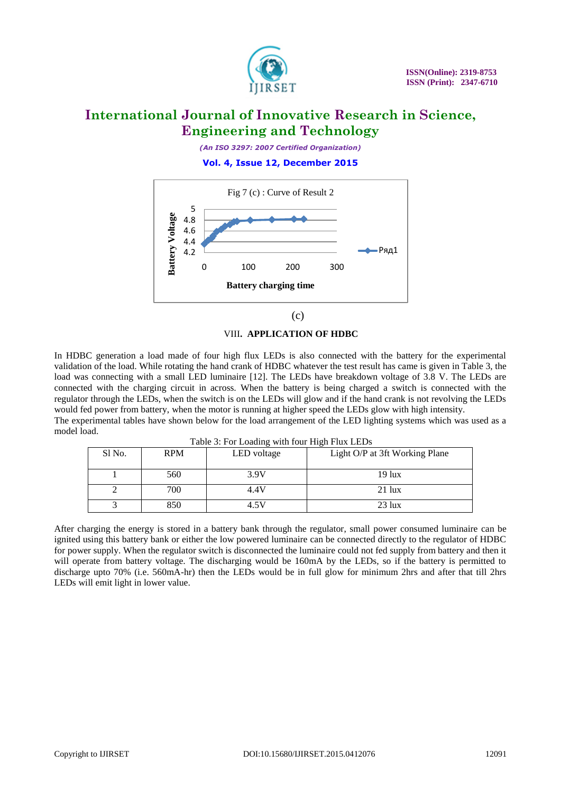

*(An ISO 3297: 2007 Certified Organization)*

# **Vol. 4, Issue 12, December 2015**





### VIII**. APPLICATION OF HDBC**

In HDBC generation a load made of four high flux LEDs is also connected with the battery for the experimental validation of the load. While rotating the hand crank of HDBC whatever the test result has came is given in Table 3, the load was connecting with a small LED luminaire [12]. The LEDs have breakdown voltage of 3.8 V. The LEDs are connected with the charging circuit in across. When the battery is being charged a switch is connected with the regulator through the LEDs, when the switch is on the LEDs will glow and if the hand crank is not revolving the LEDs would fed power from battery, when the motor is running at higher speed the LEDs glow with high intensity. The experimental tables have shown below for the load arrangement of the LED lighting systems which was used as a

Table 3: For Loading with four High Flux LEDs

| Sl No. | <b>RPM</b> | $14010$ $31.1$ of Equating with 10th $111\text{cm}$ $1401$ EQU<br>LED voltage | Light O/P at 3ft Working Plane |
|--------|------------|-------------------------------------------------------------------------------|--------------------------------|
|        | 560        | 3.9V                                                                          | 19 lux                         |
|        | 700        | 4.4V                                                                          | $21$ lux                       |
|        | 850        | 4.5V                                                                          | $23$ lux                       |

After charging the energy is stored in a battery bank through the regulator, small power consumed luminaire can be ignited using this battery bank or either the low powered luminaire can be connected directly to the regulator of HDBC for power supply. When the regulator switch is disconnected the luminaire could not fed supply from battery and then it will operate from battery voltage. The discharging would be 160mA by the LEDs, so if the battery is permitted to discharge upto 70% (i.e. 560mA-hr) then the LEDs would be in full glow for minimum 2hrs and after that till 2hrs LEDs will emit light in lower value.

model load.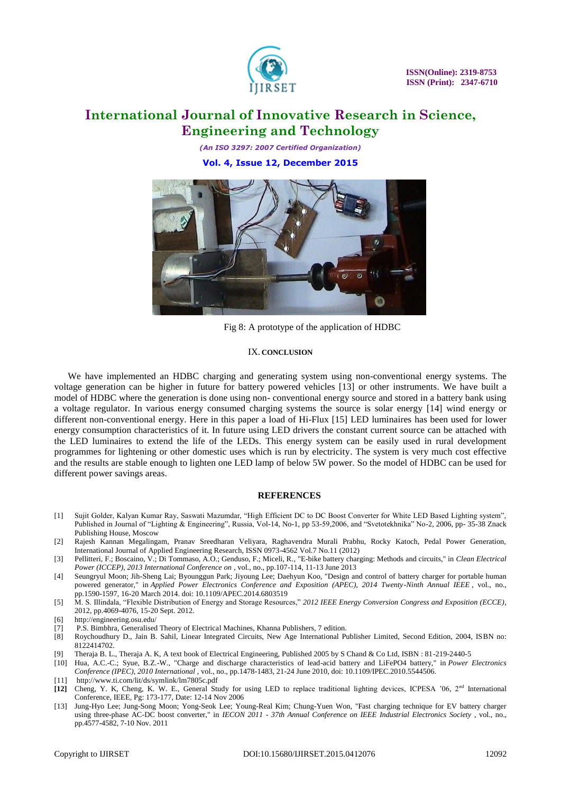

*(An ISO 3297: 2007 Certified Organization)* **Vol. 4, Issue 12, December 2015**



Fig 8: A prototype of the application of HDBC

#### IX. **CONCLUSION**

We have implemented an HDBC charging and generating system using non-conventional energy systems. The voltage generation can be higher in future for battery powered vehicles [13] or other instruments. We have built a model of HDBC where the generation is done using non- conventional energy source and stored in a battery bank using a voltage regulator. In various energy consumed charging systems the source is solar energy [14] wind energy or different non-conventional energy. Here in this paper a load of Hi-Flux [15] LED luminaires has been used for lower energy consumption characteristics of it. In future using LED drivers the constant current source can be attached with the LED luminaires to extend the life of the LEDs. This energy system can be easily used in rural development programmes for lightening or other domestic uses which is run by electricity. The system is very much cost effective and the results are stable enough to lighten one LED lamp of below 5W power. So the model of HDBC can be used for different power savings areas.

### **REFERENCES**

- [1] Sujit Golder, Kalyan Kumar Ray, Saswati Mazumdar, "High Efficient DC to DC Boost Converter for White LED Based Lighting system", Published in Journal of "Lighting & Engineering", Russia, Vol-14, No-1, pp 53-59,2006, and "Svetotekhnika" No-2, 2006, pp- 35-38 Znack Publishing House, Moscow
- [2] Rajesh Kannan Megalingam, Pranav Sreedharan Veliyara, Raghavendra Murali Prabhu, Rocky Katoch, Pedal Power Generation, International Journal of Applied Engineering Research, ISSN 0973-4562 Vol.7 No.11 (2012)
- [3] Pellitteri, F.; Boscaino, V.; Di Tommaso, A.O.; Genduso, F.; Miceli, R., "E-bike battery charging: Methods and circuits," in *Clean Electrical Power (ICCEP), 2013 International Conference on* , vol., no., pp.107-114, 11-13 June 2013
- [4] Seungryul Moon; Jih-Sheng Lai; Byounggun Park; Jiyoung Lee; Daehyun Koo, "Design and control of battery charger for portable human powered generator," in *Applied Power Electronics Conference and Exposition (APEC), 2014 Twenty-Ninth Annual IEEE* , vol., no., pp.1590-1597, 16-20 March 2014. doi: 10.1109/APEC.2014.6803519
- [5] M. S. Illindala, "Flexible Distribution of Energy and Storage Resources," *2012 IEEE Energy Conversion Congress and Exposition (ECCE)*, 2012, pp.4069-4076, 15-20 Sept. 2012.
- [6] <http://engineering.osu.edu/>
- [7] P.S. Bimbhra, Generalised Theory of Electrical Machines, Khanna Publishers, 7 edition.
- [8] Roychoudhury D., Jain B. Sahil, Linear Integrated Circuits, New Age International Publisher Limited, Second Edition, 2004, ISBN no: 8122414702
- [9] Theraja B. L., Theraja A. K, A text book of Electrical Engineering, Published 2005 by S Chand & Co Ltd, ISBN : 81-219-2440-5
- [10] Hua, A.C.-C.; Syue, B.Z.-W., "Charge and discharge characteristics of lead-acid battery and LiFePO4 battery," in *Power Electronics Conference (IPEC), 2010 International* , vol., no., pp.1478-1483, 21-24 June 2010, doi: 10.1109/IPEC.2010.5544506.
- [11] <http://www.ti.com/lit/ds/symlink/lm7805c.pdf>
- **[12]** Cheng, Y. K, Cheng, K. W. E., General Study for using LED to replace traditional lighting devices, ICPESA '06, 2nd International Conference, IEEE, Pg: 173-177, Date: 12-14 Nov 2006
- [13] Jung-Hyo Lee; Jung-Song Moon; Yong-Seok Lee; Young-Real Kim; Chung-Yuen Won, "Fast charging technique for EV battery charger using three-phase AC-DC boost converter," in *IECON 2011 - 37th Annual Conference on IEEE Industrial Electronics Society* , vol., no., pp.4577-4582, 7-10 Nov. 2011